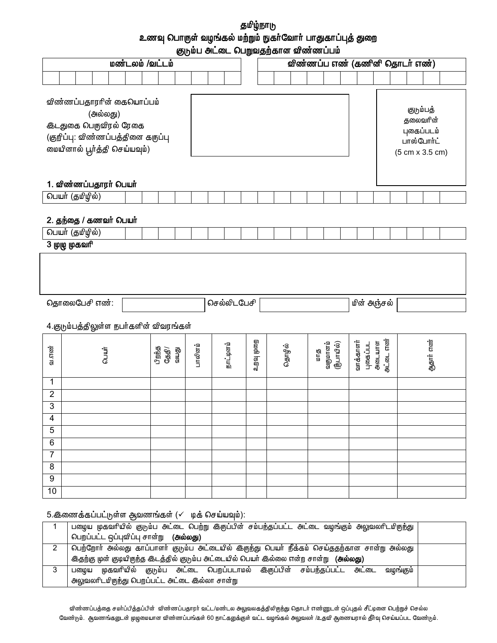தமிழ்நாடு உணவு பொருள் வழங்கல் மற்றும் நுகர்வோர் பாதுகாப்புத் துறை குடும்ப அட்டை பெறுவதற்கான விண்ணப்பம்

| மண்டலம் /வட்டம்                                                                                                                             |                        |                                         |                                                                                                                                                 |  |  |                |          |         |                                                                      |                    |  |          |        |          |                        |  | விண்ணப்ப எண் (கணினி தொடர் எண்) |                    |           |  |  |           |  |
|---------------------------------------------------------------------------------------------------------------------------------------------|------------------------|-----------------------------------------|-------------------------------------------------------------------------------------------------------------------------------------------------|--|--|----------------|----------|---------|----------------------------------------------------------------------|--------------------|--|----------|--------|----------|------------------------|--|--------------------------------|--------------------|-----------|--|--|-----------|--|
|                                                                                                                                             |                        |                                         |                                                                                                                                                 |  |  |                |          |         |                                                                      |                    |  |          |        |          |                        |  |                                |                    |           |  |  |           |  |
| விண்ணப்பதாரரின் கையொப்பம்<br>(அல்லது)<br><b>கீடதுகை பெருவிரல் ரேகை</b><br>(குறிப்பு: விண்ணப்பத்தினை கருப்பு<br>மையினால் பூர்த்தி செய்யவும்) |                        |                                         |                                                                                                                                                 |  |  |                |          |         | குடும்பத்<br>தலைவரின்<br>புகைப்படம்<br>பாஸ்போர்ட்<br>(5 cm x 3.5 cm) |                    |  |          |        |          |                        |  |                                |                    |           |  |  |           |  |
|                                                                                                                                             | 1. விண்ணப்பதாரர் பெயர் |                                         |                                                                                                                                                 |  |  |                |          |         |                                                                      |                    |  |          |        |          |                        |  |                                |                    |           |  |  |           |  |
|                                                                                                                                             |                        | பெயர் (தமிழில்)                         |                                                                                                                                                 |  |  |                |          |         |                                                                      |                    |  |          |        |          |                        |  |                                |                    |           |  |  |           |  |
|                                                                                                                                             |                        |                                         | 2. தந்தை / கணவர் பெயர்                                                                                                                          |  |  |                |          |         |                                                                      |                    |  |          |        |          |                        |  |                                |                    |           |  |  |           |  |
|                                                                                                                                             |                        | பெயர் (தமிழில்)<br><u>3 முழு முகவரி</u> |                                                                                                                                                 |  |  |                |          |         |                                                                      |                    |  |          |        |          |                        |  |                                |                    |           |  |  |           |  |
|                                                                                                                                             |                        |                                         | தொலைபேசி எண்:                                                                                                                                   |  |  |                |          |         |                                                                      | <b>செல்லிடபேசி</b> |  |          |        |          |                        |  | மின் அஞ்சல்                    |                    |           |  |  |           |  |
|                                                                                                                                             |                        |                                         | 4.குடும்பத்திலுள்ள நபர்களின் விவரங்கள்                                                                                                          |  |  |                |          |         |                                                                      |                    |  |          |        |          |                        |  |                                |                    |           |  |  |           |  |
| உ.என்                                                                                                                                       |                        |                                         | GLILIT                                                                                                                                          |  |  | பிறந்த<br>தேதி | ரி<br>இய | பாலினம் |                                                                      | நாட்டினம்          |  | ஏன் நென் | தொழில் | ள்<br>மா | வருமானம்<br>(நீபாயில்) |  | வாக்காளர்                      | அடையாள<br>புகைப்பட | அட்டை எண் |  |  | ஆதார் எண் |  |
| 1                                                                                                                                           |                        |                                         |                                                                                                                                                 |  |  |                |          |         |                                                                      |                    |  |          |        |          |                        |  |                                |                    |           |  |  |           |  |
| $\overline{2}$<br>3                                                                                                                         |                        |                                         |                                                                                                                                                 |  |  |                |          |         |                                                                      |                    |  |          |        |          |                        |  |                                |                    |           |  |  |           |  |
| 4                                                                                                                                           |                        |                                         |                                                                                                                                                 |  |  |                |          |         |                                                                      |                    |  |          |        |          |                        |  |                                |                    |           |  |  |           |  |
| $\overline{5}$                                                                                                                              |                        |                                         |                                                                                                                                                 |  |  |                |          |         |                                                                      |                    |  |          |        |          |                        |  |                                |                    |           |  |  |           |  |
| 6<br>$\overline{7}$                                                                                                                         |                        |                                         |                                                                                                                                                 |  |  |                |          |         |                                                                      |                    |  |          |        |          |                        |  |                                |                    |           |  |  |           |  |
| $\overline{\mathbf{8}}$                                                                                                                     |                        |                                         |                                                                                                                                                 |  |  |                |          |         |                                                                      |                    |  |          |        |          |                        |  |                                |                    |           |  |  |           |  |
| $\overline{9}$                                                                                                                              |                        |                                         |                                                                                                                                                 |  |  |                |          |         |                                                                      |                    |  |          |        |          |                        |  |                                |                    |           |  |  |           |  |
| 10                                                                                                                                          |                        |                                         |                                                                                                                                                 |  |  |                |          |         |                                                                      |                    |  |          |        |          |                        |  |                                |                    |           |  |  |           |  |
| $\mathbf{1}$                                                                                                                                |                        |                                         | 5. இணைக்கப்பட்டுள்ள ஆவணங்கள் (√ மக் செய்யவும்):<br>பழைய முகவரியில் குடும்ப அட்டை பெற்று இருப்பின் சம்பந்தப்பட்ட அட்டை வழங்கும் அலுவலரிடமிருந்து |  |  |                |          |         |                                                                      |                    |  |          |        |          |                        |  |                                |                    |           |  |  |           |  |

| பெறப்பட்ட ஒப்புவிப்பு சான்று ( <b>அல்லது)</b>                                                      |  |
|----------------------------------------------------------------------------------------------------|--|
| பெற்றோா் அல்லது காப்பாளா் குடும்ப அட்டையில் இருந்து பெயா் நீக்கம் செய்ததற்கான சான்று அல்லது        |  |
| <u> இதற்கு</u> முன் குடியிருந்த இடத்தில் குடும்ப அட்டையில் பெயர் இல்லை என்ற சான்று <b>(அல்லது)</b> |  |
| முகவரியில் குடும்ப அட்டை பெறப்படாமல் இருப்பின் சம்பந்தப்பட்ட அட்டை<br>வழங்கும்<br>பமைய             |  |
| அலுவலரிடமிருந்து பெறப்பட்ட அட்டை இல்லா சான்று                                                      |  |

விண்ணப்பத்தை சமர்ப்பித்தப்பின் விண்ணப்பதாரர் வட்ட/மண்டல அலுவலகத்திலிருந்து தொடர் எண்ணுடன் ஒப்புதல் சீட்டினை பெற்றுச் செல்ல வேண்டும். ஆவணங்களுடன் முழுமையான விண்ணப்பங்கள் 60 நாட்களுக்குள் வட்ட வழங்கல் அலுவலர் /உதவி ஆணையரால் தீர்வு செய்யப்பட வேண்டும்.